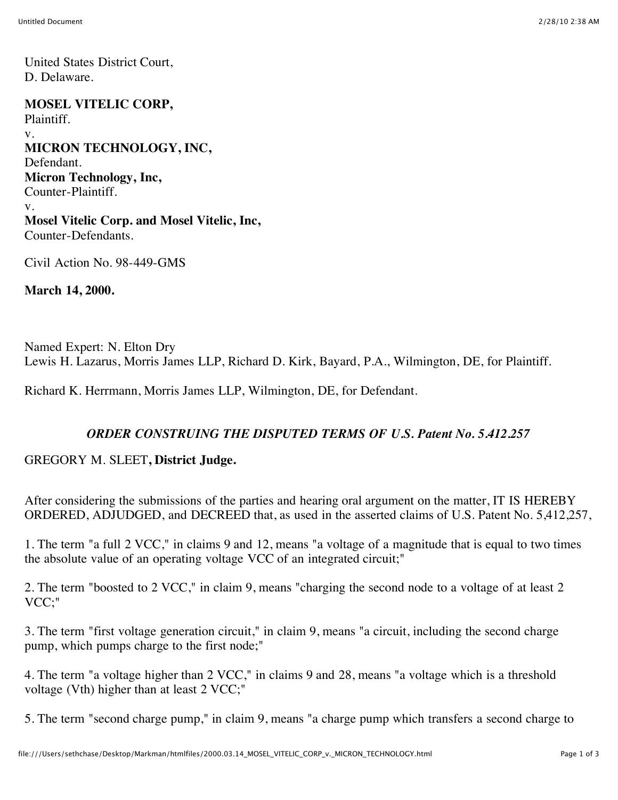United States District Court, D. Delaware.

**MOSEL VITELIC CORP,** Plaintiff. v. **MICRON TECHNOLOGY, INC,** Defendant. **Micron Technology, Inc,** Counter-Plaintiff. v. **Mosel Vitelic Corp. and Mosel Vitelic, Inc,** Counter-Defendants.

Civil Action No. 98-449-GMS

**March 14, 2000.**

Named Expert: N. Elton Dry Lewis H. Lazarus, Morris James LLP, Richard D. Kirk, Bayard, P.A., Wilmington, DE, for Plaintiff.

Richard K. Herrmann, Morris James LLP, Wilmington, DE, for Defendant.

## *ORDER CONSTRUING THE DISPUTED TERMS OF U.S. Patent No. 5.412.257*

## GREGORY M. SLEET**, District Judge.**

After considering the submissions of the parties and hearing oral argument on the matter, IT IS HEREBY ORDERED, ADJUDGED, and DECREED that, as used in the asserted claims of U.S. Patent No. 5,412,257,

1. The term "a full 2 VCC," in claims 9 and 12, means "a voltage of a magnitude that is equal to two times the absolute value of an operating voltage VCC of an integrated circuit;"

2. The term "boosted to 2 VCC," in claim 9, means "charging the second node to a voltage of at least 2 VCC;"

3. The term "first voltage generation circuit," in claim 9, means "a circuit, including the second charge pump, which pumps charge to the first node;"

4. The term "a voltage higher than 2 VCC," in claims 9 and 28, means "a voltage which is a threshold voltage (Vth) higher than at least 2 VCC;"

5. The term "second charge pump," in claim 9, means "a charge pump which transfers a second charge to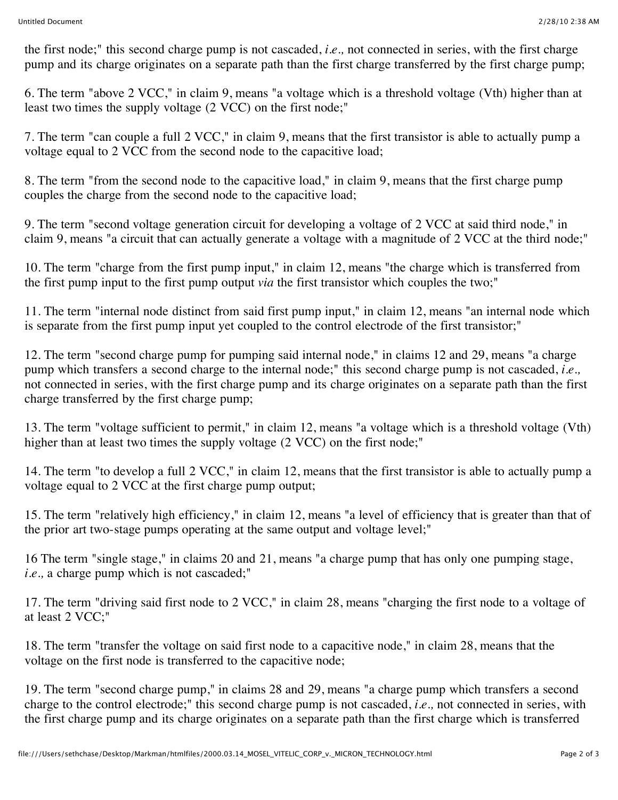the first node;" this second charge pump is not cascaded, *i.e.,* not connected in series, with the first charge pump and its charge originates on a separate path than the first charge transferred by the first charge pump;

6. The term "above 2 VCC," in claim 9, means "a voltage which is a threshold voltage (Vth) higher than at least two times the supply voltage (2 VCC) on the first node;"

7. The term "can couple a full 2 VCC," in claim 9, means that the first transistor is able to actually pump a voltage equal to 2 VCC from the second node to the capacitive load;

8. The term "from the second node to the capacitive load," in claim 9, means that the first charge pump couples the charge from the second node to the capacitive load;

9. The term "second voltage generation circuit for developing a voltage of 2 VCC at said third node," in claim 9, means "a circuit that can actually generate a voltage with a magnitude of 2 VCC at the third node;"

10. The term "charge from the first pump input," in claim 12, means "the charge which is transferred from the first pump input to the first pump output *via* the first transistor which couples the two;"

11. The term "internal node distinct from said first pump input," in claim 12, means "an internal node which is separate from the first pump input yet coupled to the control electrode of the first transistor;"

12. The term "second charge pump for pumping said internal node," in claims 12 and 29, means "a charge pump which transfers a second charge to the internal node;" this second charge pump is not cascaded, *i.e.,* not connected in series, with the first charge pump and its charge originates on a separate path than the first charge transferred by the first charge pump;

13. The term "voltage sufficient to permit," in claim 12, means "a voltage which is a threshold voltage (Vth) higher than at least two times the supply voltage (2 VCC) on the first node;"

14. The term "to develop a full 2 VCC," in claim 12, means that the first transistor is able to actually pump a voltage equal to 2 VCC at the first charge pump output;

15. The term "relatively high efficiency," in claim 12, means "a level of efficiency that is greater than that of the prior art two-stage pumps operating at the same output and voltage level;"

16 The term "single stage," in claims 20 and 21, means "a charge pump that has only one pumping stage, *i.e.,* a charge pump which is not cascaded;"

17. The term "driving said first node to 2 VCC," in claim 28, means "charging the first node to a voltage of at least 2 VCC;"

18. The term "transfer the voltage on said first node to a capacitive node," in claim 28, means that the voltage on the first node is transferred to the capacitive node;

19. The term "second charge pump," in claims 28 and 29, means "a charge pump which transfers a second charge to the control electrode;" this second charge pump is not cascaded, *i.e.,* not connected in series, with the first charge pump and its charge originates on a separate path than the first charge which is transferred